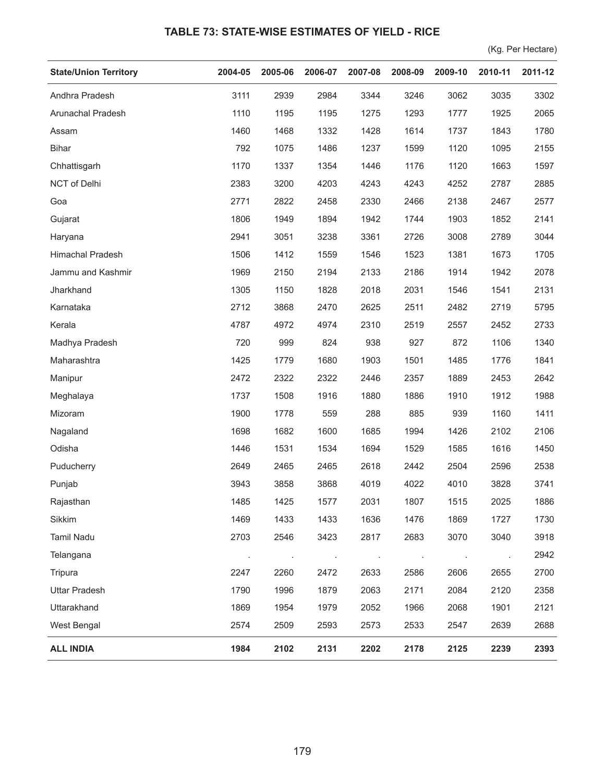## **TABLE 73: STATE-WISE ESTIMATES OF YIELD - RICE**

(Kg. Per Hectare)

| <b>State/Union Territory</b> | 2004-05 | 2005-06 | 2006-07 | 2007-08 | 2008-09 | 2009-10         | 2010-11 | 2011-12 |
|------------------------------|---------|---------|---------|---------|---------|-----------------|---------|---------|
| Andhra Pradesh               | 3111    | 2939    | 2984    | 3344    | 3246    | 3062            | 3035    | 3302    |
| Arunachal Pradesh            | 1110    | 1195    | 1195    | 1275    | 1293    | 1777            | 1925    | 2065    |
| Assam                        | 1460    | 1468    | 1332    | 1428    | 1614    | 1737            | 1843    | 1780    |
| <b>Bihar</b>                 | 792     | 1075    | 1486    | 1237    | 1599    | 1120            | 1095    | 2155    |
| Chhattisgarh                 | 1170    | 1337    | 1354    | 1446    | 1176    | 1120            | 1663    | 1597    |
| NCT of Delhi                 | 2383    | 3200    | 4203    | 4243    | 4243    | 4252            | 2787    | 2885    |
| Goa                          | 2771    | 2822    | 2458    | 2330    | 2466    | 2138            | 2467    | 2577    |
| Gujarat                      | 1806    | 1949    | 1894    | 1942    | 1744    | 1903            | 1852    | 2141    |
| Haryana                      | 2941    | 3051    | 3238    | 3361    | 2726    | 3008            | 2789    | 3044    |
| Himachal Pradesh             | 1506    | 1412    | 1559    | 1546    | 1523    | 1381            | 1673    | 1705    |
| Jammu and Kashmir            | 1969    | 2150    | 2194    | 2133    | 2186    | 1914            | 1942    | 2078    |
| Jharkhand                    | 1305    | 1150    | 1828    | 2018    | 2031    | 1546            | 1541    | 2131    |
| Karnataka                    | 2712    | 3868    | 2470    | 2625    | 2511    | 2482            | 2719    | 5795    |
| Kerala                       | 4787    | 4972    | 4974    | 2310    | 2519    | 2557            | 2452    | 2733    |
| Madhya Pradesh               | 720     | 999     | 824     | 938     | 927     | 872             | 1106    | 1340    |
| Maharashtra                  | 1425    | 1779    | 1680    | 1903    | 1501    | 1485            | 1776    | 1841    |
| Manipur                      | 2472    | 2322    | 2322    | 2446    | 2357    | 1889            | 2453    | 2642    |
| Meghalaya                    | 1737    | 1508    | 1916    | 1880    | 1886    | 1910            | 1912    | 1988    |
| Mizoram                      | 1900    | 1778    | 559     | 288     | 885     | 939             | 1160    | 1411    |
| Nagaland                     | 1698    | 1682    | 1600    | 1685    | 1994    | 1426            | 2102    | 2106    |
| Odisha                       | 1446    | 1531    | 1534    | 1694    | 1529    | 1585            | 1616    | 1450    |
| Puducherry                   | 2649    | 2465    | 2465    | 2618    | 2442    | 2504            | 2596    | 2538    |
| Punjab                       | 3943    | 3858    | 3868    | 4019    | 4022    | 4010            | 3828    | 3741    |
| Rajasthan                    | 1485    | 1425    | 1577    | 2031    | 1807    | 1515            | 2025    | 1886    |
| Sikkim                       | 1469    | 1433    | 1433    | 1636    | 1476    | 1869            | 1727    | 1730    |
| <b>Tamil Nadu</b>            | 2703    | 2546    | 3423    | 2817    | 2683    | 3070            | 3040    | 3918    |
| Telangana                    |         |         |         |         | $\sim$  | $\sim$ 10 $\pm$ |         | 2942    |
| Tripura                      | 2247    | 2260    | 2472    | 2633    | 2586    | 2606            | 2655    | 2700    |
| <b>Uttar Pradesh</b>         | 1790    | 1996    | 1879    | 2063    | 2171    | 2084            | 2120    | 2358    |
| Uttarakhand                  | 1869    | 1954    | 1979    | 2052    | 1966    | 2068            | 1901    | 2121    |
| West Bengal                  | 2574    | 2509    | 2593    | 2573    | 2533    | 2547            | 2639    | 2688    |
| <b>ALL INDIA</b>             | 1984    | 2102    | 2131    | 2202    | 2178    | 2125            | 2239    | 2393    |